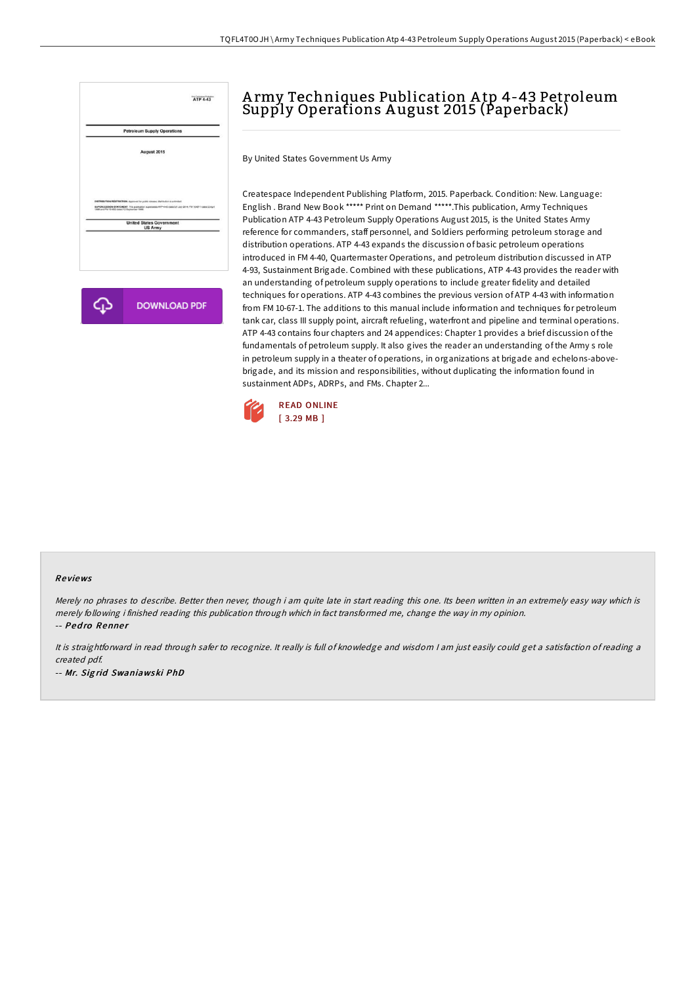

**DOWNLOAD PDF** 

# A rmy Techniques Publication A tp 4-43 Petroleum Supply Operations A ugust 2015 (Paperback)

By United States Government Us Army

Createspace Independent Publishing Platform, 2015. Paperback. Condition: New. Language: English . Brand New Book \*\*\*\*\* Print on Demand \*\*\*\*\*.This publication, Army Techniques Publication ATP 4-43 Petroleum Supply Operations August 2015, is the United States Army reference for commanders, staff personnel, and Soldiers performing petroleum storage and distribution operations. ATP 4-43 expands the discussion of basic petroleum operations introduced in FM 4-40, Quartermaster Operations, and petroleum distribution discussed in ATP 4-93, Sustainment Brigade. Combined with these publications, ATP 4-43 provides the reader with an understanding of petroleum supply operations to include greater fidelity and detailed techniques for operations. ATP 4-43 combines the previous version of ATP 4-43 with information from FM 10-67-1. The additions to this manual include information and techniques for petroleum tank car, class III supply point, aircraft refueling, waterfront and pipeline and terminal operations. ATP 4-43 contains four chapters and 24 appendices: Chapter 1 provides a brief discussion of the fundamentals of petroleum supply. It also gives the reader an understanding of the Army s role in petroleum supply in a theater of operations, in organizations at brigade and echelons-abovebrigade, and its mission and responsibilities, without duplicating the information found in sustainment ADPs, ADRPs, and FMs. Chapter 2...



#### Re views

Merely no phrases to describe. Better then never, though i am quite late in start reading this one. Its been written in an extremely easy way which is merely following i finished reading this publication through which in fact transformed me, change the way in my opinion. -- Pedro Renner

It is straightforward in read through safer to recognize. It really is full of knowledge and wisdom <sup>I</sup> am just easily could get <sup>a</sup> satisfaction of reading <sup>a</sup> created pdf. -- Mr. Sig rid Swaniawski PhD